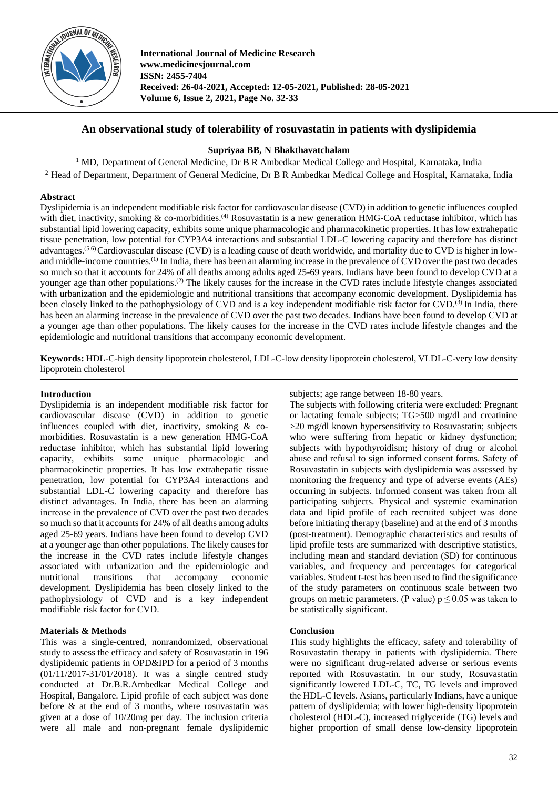

**International Journal of Medicine Research www.medicinesjournal.com ISSN: 2455-7404 Received: 26-04-2021, Accepted: 12-05-2021, Published: 28-05-2021 Volume 6, Issue 2, 2021, Page No. 32-33**

# **An observational study of tolerability of rosuvastatin in patients with dyslipidemia**

## **Supriyaa BB, N Bhakthavatchalam**

<sup>1</sup> MD, Department of General Medicine, Dr B R Ambedkar Medical College and Hospital, Karnataka, India <sup>2</sup> Head of Department, Department of General Medicine, Dr B R Ambedkar Medical College and Hospital, Karnataka, India

## **Abstract**

Dyslipidemia is an independent modifiable risk factor for cardiovascular disease (CVD) in addition to genetic influences coupled with diet, inactivity, smoking  $\&$  co-morbidities.<sup>(4)</sup> Rosuvastatin is a new generation HMG-CoA reductase inhibitor, which has substantial lipid lowering capacity, exhibits some unique pharmacologic and pharmacokinetic properties. It has low extrahepatic tissue penetration, low potential for CYP3A4 interactions and substantial LDL-C lowering capacity and therefore has distinct advantages.<sup>(5,6)</sup>Cardiovascular disease (CVD) is a leading cause of death worldwide, and mortality due to CVD is higher in lowand middle-income countries.(1) In India, there has been an alarming increase in the prevalence of CVD over the past two decades so much so that it accounts for 24% of all deaths among adults aged 25-69 years. Indians have been found to develop CVD at a younger age than other populations.<sup>(2)</sup> The likely causes for the increase in the CVD rates include lifestyle changes associated with urbanization and the epidemiologic and nutritional transitions that accompany economic development. Dyslipidemia has been closely linked to the pathophysiology of CVD and is a key independent modifiable risk factor for CVD.<sup>(3)</sup> In India, there has been an alarming increase in the prevalence of CVD over the past two decades. Indians have been found to develop CVD at a younger age than other populations. The likely causes for the increase in the CVD rates include lifestyle changes and the epidemiologic and nutritional transitions that accompany economic development.

**Keywords:** HDL-C-high density lipoprotein cholesterol, LDL-C-low density lipoprotein cholesterol, VLDL-C-very low density lipoprotein cholesterol

### **Introduction**

Dyslipidemia is an independent modifiable risk factor for cardiovascular disease (CVD) in addition to genetic influences coupled with diet, inactivity, smoking & comorbidities. Rosuvastatin is a new generation HMG-CoA reductase inhibitor, which has substantial lipid lowering capacity, exhibits some unique pharmacologic and pharmacokinetic properties. It has low extrahepatic tissue penetration, low potential for CYP3A4 interactions and substantial LDL-C lowering capacity and therefore has distinct advantages. In India, there has been an alarming increase in the prevalence of CVD over the past two decades so much so that it accounts for 24% of all deaths among adults aged 25-69 years. Indians have been found to develop CVD at a younger age than other populations. The likely causes for the increase in the CVD rates include lifestyle changes associated with urbanization and the epidemiologic and nutritional transitions that accompany economic development. Dyslipidemia has been closely linked to the pathophysiology of CVD and is a key independent modifiable risk factor for CVD.

## **Materials & Methods**

This was a single-centred, nonrandomized, observational study to assess the efficacy and safety of Rosuvastatin in 196 dyslipidemic patients in OPD&IPD for a period of 3 months (01/11/2017-31/01/2018). It was a single centred study conducted at Dr.B.R.Ambedkar Medical College and Hospital, Bangalore. Lipid profile of each subject was done before & at the end of 3 months, where rosuvastatin was given at a dose of 10/20mg per day. The inclusion criteria were all male and non-pregnant female dyslipidemic

subjects; age range between 18-80 years.

The subjects with following criteria were excluded: Pregnant or lactating female subjects; TG>500 mg/dl and creatinine >20 mg/dl known hypersensitivity to Rosuvastatin; subjects who were suffering from hepatic or kidney dysfunction: subjects with hypothyroidism; history of drug or alcohol abuse and refusal to sign informed consent forms. Safety of Rosuvastatin in subjects with dyslipidemia was assessed by monitoring the frequency and type of adverse events (AEs) occurring in subjects. Informed consent was taken from all participating subjects. Physical and systemic examination data and lipid profile of each recruited subject was done before initiating therapy (baseline) and at the end of 3 months (post-treatment). Demographic characteristics and results of lipid profile tests are summarized with descriptive statistics, including mean and standard deviation (SD) for continuous variables, and frequency and percentages for categorical variables. Student t-test has been used to find the significance of the study parameters on continuous scale between two groups on metric parameters. (P value)  $p \le 0.05$  was taken to be statistically significant.

### **Conclusion**

This study highlights the efficacy, safety and tolerability of Rosuvastatin therapy in patients with dyslipidemia. There were no significant drug-related adverse or serious events reported with Rosuvastatin. In our study, Rosuvastatin significantly lowered LDL-C, TC, TG levels and improved the HDL-C levels. Asians, particularly Indians, have a unique pattern of dyslipidemia; with lower high-density lipoprotein cholesterol (HDL-C), increased triglyceride (TG) levels and higher proportion of small dense low-density lipoprotein